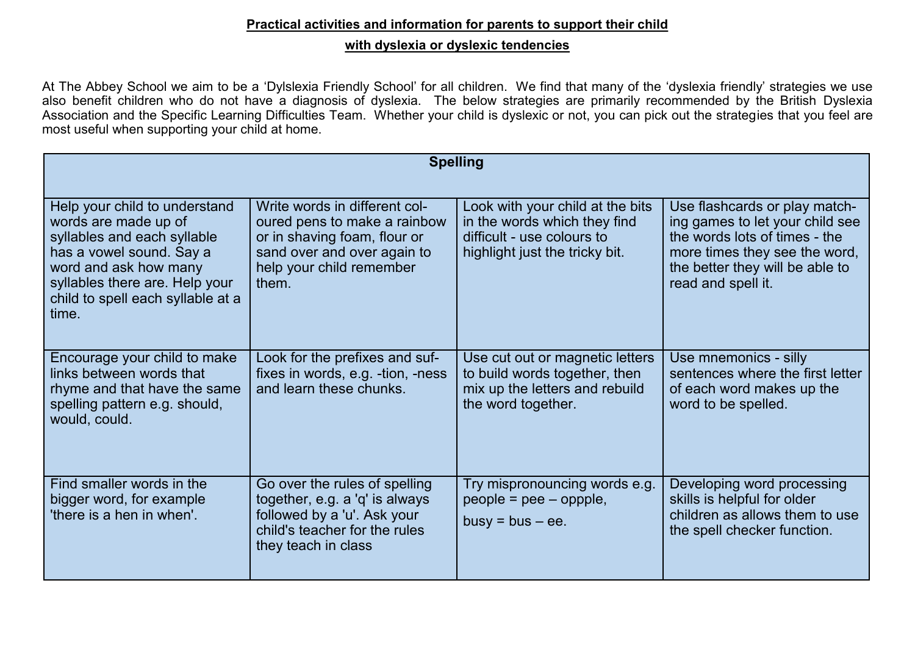## **Practical activities and information for parents to support their child with dyslexia or dyslexic tendencies**

At The Abbey School we aim to be a 'Dylslexia Friendly School' for all children. We find that many of the 'dyslexia friendly' strategies we use also benefit children who do not have a diagnosis of dyslexia. The below strategies are primarily recommended by the British Dyslexia Association and the Specific Learning Difficulties Team. Whether your child is dyslexic or not, you can pick out the strategies that you feel are most useful when supporting your child at home.

| <b>Spelling</b>                                                                                                                                                                                                           |                                                                                                                                                                   |                                                                                                                                  |                                                                                                                                                                                             |  |
|---------------------------------------------------------------------------------------------------------------------------------------------------------------------------------------------------------------------------|-------------------------------------------------------------------------------------------------------------------------------------------------------------------|----------------------------------------------------------------------------------------------------------------------------------|---------------------------------------------------------------------------------------------------------------------------------------------------------------------------------------------|--|
| Help your child to understand<br>words are made up of<br>syllables and each syllable<br>has a vowel sound. Say a<br>word and ask how many<br>syllables there are. Help your<br>child to spell each syllable at a<br>time. | Write words in different col-<br>oured pens to make a rainbow<br>or in shaving foam, flour or<br>sand over and over again to<br>help your child remember<br>them. | Look with your child at the bits<br>in the words which they find<br>difficult - use colours to<br>highlight just the tricky bit. | Use flashcards or play match-<br>ing games to let your child see<br>the words lots of times - the<br>more times they see the word,<br>the better they will be able to<br>read and spell it. |  |
| Encourage your child to make<br>links between words that<br>rhyme and that have the same<br>spelling pattern e.g. should,<br>would, could.                                                                                | Look for the prefixes and suf-<br>fixes in words, e.g. -tion, -ness<br>and learn these chunks.                                                                    | Use cut out or magnetic letters<br>to build words together, then<br>mix up the letters and rebuild<br>the word together.         | Use mnemonics - silly<br>sentences where the first letter<br>of each word makes up the<br>word to be spelled.                                                                               |  |
| Find smaller words in the<br>bigger word, for example<br>'there is a hen in when'.                                                                                                                                        | Go over the rules of spelling<br>together, e.g. a 'q' is always<br>followed by a 'u'. Ask your<br>child's teacher for the rules<br>they teach in class            | Try mispronouncing words e.g.<br>$people =pee - oppple,$<br>$busy = bus - ee$ .                                                  | Developing word processing<br>skills is helpful for older<br>children as allows them to use<br>the spell checker function.                                                                  |  |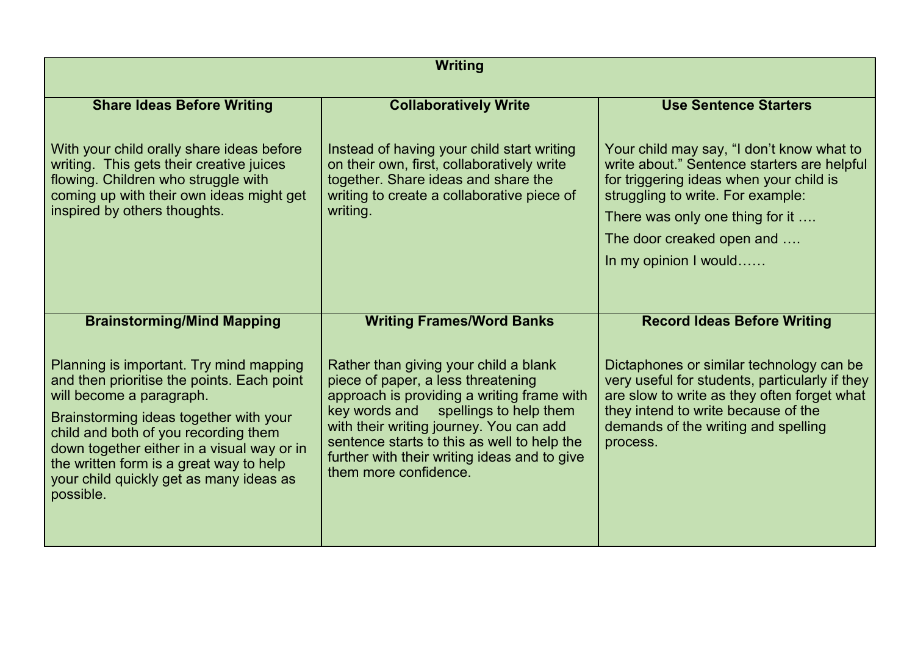| <b>Writing</b>                                                                                                                                                                                                                                                                                                                                       |                                                                                                                                                                                                                                                                                                                                      |                                                                                                                                                                                                                                                                   |  |  |
|------------------------------------------------------------------------------------------------------------------------------------------------------------------------------------------------------------------------------------------------------------------------------------------------------------------------------------------------------|--------------------------------------------------------------------------------------------------------------------------------------------------------------------------------------------------------------------------------------------------------------------------------------------------------------------------------------|-------------------------------------------------------------------------------------------------------------------------------------------------------------------------------------------------------------------------------------------------------------------|--|--|
| <b>Share Ideas Before Writing</b>                                                                                                                                                                                                                                                                                                                    | <b>Collaboratively Write</b>                                                                                                                                                                                                                                                                                                         | <b>Use Sentence Starters</b>                                                                                                                                                                                                                                      |  |  |
| With your child orally share ideas before<br>writing. This gets their creative juices<br>flowing. Children who struggle with<br>coming up with their own ideas might get<br>inspired by others thoughts.                                                                                                                                             | Instead of having your child start writing<br>on their own, first, collaboratively write<br>together. Share ideas and share the<br>writing to create a collaborative piece of<br>writing.                                                                                                                                            | Your child may say, "I don't know what to<br>write about." Sentence starters are helpful<br>for triggering ideas when your child is<br>struggling to write. For example:<br>There was only one thing for it<br>The door creaked open and<br>In my opinion I would |  |  |
| <b>Brainstorming/Mind Mapping</b>                                                                                                                                                                                                                                                                                                                    | <b>Writing Frames/Word Banks</b>                                                                                                                                                                                                                                                                                                     | <b>Record Ideas Before Writing</b>                                                                                                                                                                                                                                |  |  |
| Planning is important. Try mind mapping<br>and then prioritise the points. Each point<br>will become a paragraph.<br>Brainstorming ideas together with your<br>child and both of you recording them<br>down together either in a visual way or in<br>the written form is a great way to help<br>your child quickly get as many ideas as<br>possible. | Rather than giving your child a blank<br>piece of paper, a less threatening<br>approach is providing a writing frame with<br>key words and spellings to help them<br>with their writing journey. You can add<br>sentence starts to this as well to help the<br>further with their writing ideas and to give<br>them more confidence. | Dictaphones or similar technology can be<br>very useful for students, particularly if they<br>are slow to write as they often forget what<br>they intend to write because of the<br>demands of the writing and spelling<br>process.                               |  |  |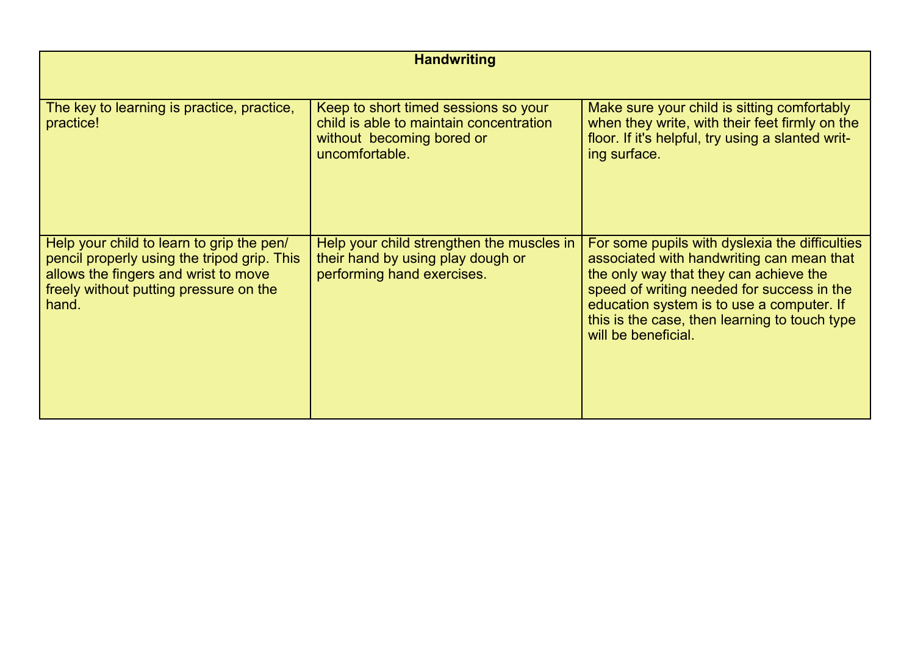| <b>Handwriting</b>                                                                                                                                                                  |                                                                                                                                |                                                                                                                                                                                                                                                                                                          |  |  |  |
|-------------------------------------------------------------------------------------------------------------------------------------------------------------------------------------|--------------------------------------------------------------------------------------------------------------------------------|----------------------------------------------------------------------------------------------------------------------------------------------------------------------------------------------------------------------------------------------------------------------------------------------------------|--|--|--|
|                                                                                                                                                                                     |                                                                                                                                |                                                                                                                                                                                                                                                                                                          |  |  |  |
| The key to learning is practice, practice,<br>practice!                                                                                                                             | Keep to short timed sessions so your<br>child is able to maintain concentration<br>without becoming bored or<br>uncomfortable. | Make sure your child is sitting comfortably<br>when they write, with their feet firmly on the<br>floor. If it's helpful, try using a slanted writ-<br>ing surface.                                                                                                                                       |  |  |  |
| Help your child to learn to grip the pen/<br>pencil properly using the tripod grip. This<br>allows the fingers and wrist to move<br>freely without putting pressure on the<br>hand. | Help your child strengthen the muscles in<br>their hand by using play dough or<br>performing hand exercises.                   | For some pupils with dyslexia the difficulties<br>associated with handwriting can mean that<br>the only way that they can achieve the<br>speed of writing needed for success in the<br>education system is to use a computer. If<br>this is the case, then learning to touch type<br>will be beneficial. |  |  |  |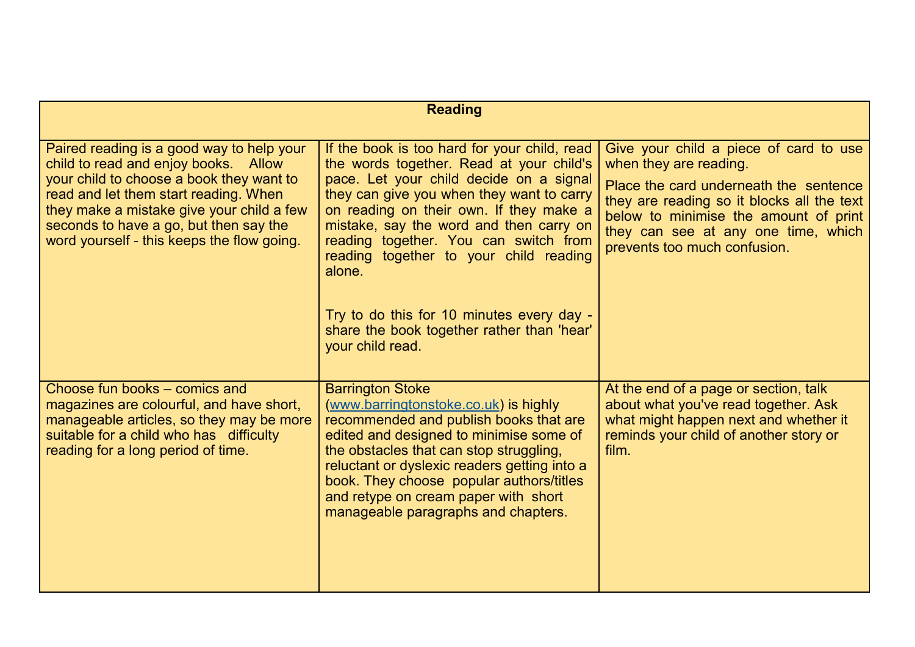| <b>Reading</b>                                                                                                                                                                                                                                                                                              |                                                                                                                                                                                                                                                                                                                                                                                                                                                                                    |                                                                                                                                                                                                                                                                          |  |  |
|-------------------------------------------------------------------------------------------------------------------------------------------------------------------------------------------------------------------------------------------------------------------------------------------------------------|------------------------------------------------------------------------------------------------------------------------------------------------------------------------------------------------------------------------------------------------------------------------------------------------------------------------------------------------------------------------------------------------------------------------------------------------------------------------------------|--------------------------------------------------------------------------------------------------------------------------------------------------------------------------------------------------------------------------------------------------------------------------|--|--|
|                                                                                                                                                                                                                                                                                                             |                                                                                                                                                                                                                                                                                                                                                                                                                                                                                    |                                                                                                                                                                                                                                                                          |  |  |
| Paired reading is a good way to help your<br>child to read and enjoy books. Allow<br>your child to choose a book they want to<br>read and let them start reading. When<br>they make a mistake give your child a few<br>seconds to have a go, but then say the<br>word yourself - this keeps the flow going. | If the book is too hard for your child, read<br>the words together. Read at your child's<br>pace. Let your child decide on a signal<br>they can give you when they want to carry<br>on reading on their own. If they make a<br>mistake, say the word and then carry on<br>reading together. You can switch from<br>reading together to your child reading<br>alone.<br>Try to do this for 10 minutes every day -<br>share the book together rather than 'hear'<br>your child read. | Give your child a piece of card to use<br>when they are reading.<br>Place the card underneath the sentence<br>they are reading so it blocks all the text<br>below to minimise the amount of print<br>they can see at any one time, which<br>prevents too much confusion. |  |  |
| Choose fun books – comics and<br>magazines are colourful, and have short,<br>manageable articles, so they may be more<br>suitable for a child who has difficulty<br>reading for a long period of time.                                                                                                      | <b>Barrington Stoke</b><br>(www.barringtonstoke.co.uk) is highly<br>recommended and publish books that are<br>edited and designed to minimise some of<br>the obstacles that can stop struggling,<br>reluctant or dyslexic readers getting into a<br>book. They choose popular authors/titles<br>and retype on cream paper with short<br>manageable paragraphs and chapters.                                                                                                        | At the end of a page or section, talk<br>about what you've read together. Ask<br>what might happen next and whether it<br>reminds your child of another story or<br>film.                                                                                                |  |  |